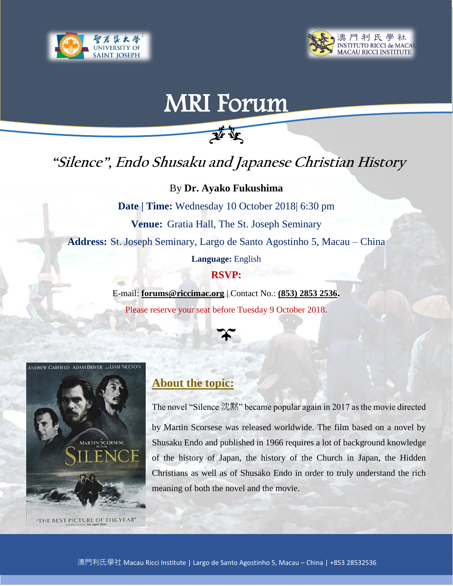



# MRI Forum

## **"Silence", Endo Shusaku and Japanese Christian History**

要变

By **Dr. Ayako Fukushima**

**Date | Time:** Wednesday 10 October 2018| 6:30 pm **Venue:** Gratia Hall, The St. Joseph Seminary **Address:** St. Joseph Seminary, Largo de Santo Agostinho 5, Macau – China **Language:** English

#### **RSVP:**

E-mail: **forums@riccimac.org** | Contact No.: **(853) 2853 2536.** Please reserve your seat before Tuesday 9 October 2018.





#### **About the topic:**

The novel "Silence 沈黙" became popular again in 2017 as the movie directed by Martin Scorsese was released worldwide. The film based on a novel by Shusaku Endo and published in 1966 requires a lot of background knowledge of the history of Japan, the history of the Church in Japan, the Hidden Christians as well as of Shusako Endo in order to truly understand the rich meaning of both the novel and the movie.